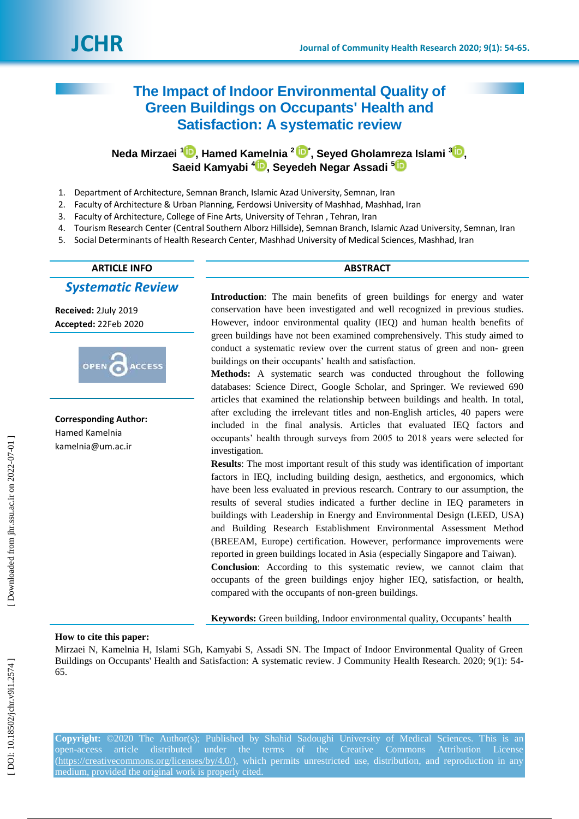# **The Impact of Indoor Environmental Quality of Green Buildings on Occupants' Health and Satisfaction: A systematic review**

**Neda Mirzaei 1 [,](https://orcid.org/0000-0003-1653-5328) Hamed Kamelnia 2 [\\*](https://orcid.org/0000-0001-9339-9118) , Seyed Gholamreza Islami 3 [,](https://orcid.org/0000-0002-1334-5986) Saeid Kamyabi 4 [,](https://orcid.org/0000-0002-7307-9421) Seyedeh Negar Assadi [5](https://orcid.org/0000-0003-3781-2056)**

- 1 . Department of Architecture, Semnan Branch, Islamic Azad University, Semnan, Iran
- 2 . Faculty of Architecture & Urban Planning, Ferdowsi University of Mashhad, Mashhad, Iran
- 3 . Faculty of Architecture, College of Fine Arts, University of Tehran , Tehran, Iran
- 4 . Tourism Research Center (Central Southern Alborz Hillside), Semnan Branch, Islamic Azad University, Semnan, Iran
- 5 . Social Determinants of Health Research Center, Mashhad University of Medical Sciences, Mashhad, Iran

## **ARTICLE INFO ABSTRACT**

*Systematic Review*

**Received:**  2July 201 9 **Accepted:** 22Feb 2020



**Corresponding Author:** Hamed Kamelnia kamelnia@um.ac.ir

**Introduction**: The main benefits of green buildings for energy and water conservation have been investigated and well recognized in previous studies. However, indoor environmental quality (IEQ) and human health benefits of green buildings have not been examined comprehensively. This study aimed to conduct a systematic review over the current status of green and non-green buildings on their occupants' health and satisfaction.

**Method s :** A systematic search was conducted throughout the following databases: Science Direct, Google Scholar, and Springer. We reviewed 690 articles that examined the relationship between buildings and health. In total, after excluding the irrelevant titles and non -English articles, 40 papers were included in the final analysis. Articles that evaluated IEQ factors and occupants' health through surveys from 2005 to 2018 years were selected for investigation.

**Results**: The most important result of this study was identification of important factors in IEQ, including building design, aesthetics, and ergonomics, which have been less evaluated in previous research. Contrary to our assumption, the results of several studies indicated a further decline in IEQ parameters in buildings with Leadership in Energy and Environmental Design (LEED, USA) and Building Research Establishment Environmental Assessment Method (BREEAM, Europe) certification. However, performance improvements were reported in green buildings located in Asia (especially Singapore and Taiwan).

**Conclusion**: According to this systematic review, we cannot claim that occupants of the green buildings enjoy higher IEQ, satisfaction, or health, compared with the occupants of non -green buildings.

**Keywords:** Green building, Indoor environmental quality, Occupants' health

## **How to cite this paper:**

Mirzaei N, Kamelnia H, Islami SGh, Kamyabi S, Assadi SN. The Impact of Indoor Environmental Quality of Green Buildings on Occupants' Health and Satisfaction: A systematic review. J Community Health Research. 2020; 9(1): 54-65.

**Copyright:** ©2020 The Author(s); Published by Shahid Sadoughi University of Medical Sciences. This is an open-access article distributed under the terms of the Creative Commons Attribution License [\(https://creativecommons.org/licenses/by/4.0/\)](https://creativecommons.org/licenses/by/4.0/), which permits unrestricted use, distribution, and reproduction in any medium, provided the original work is properly cited.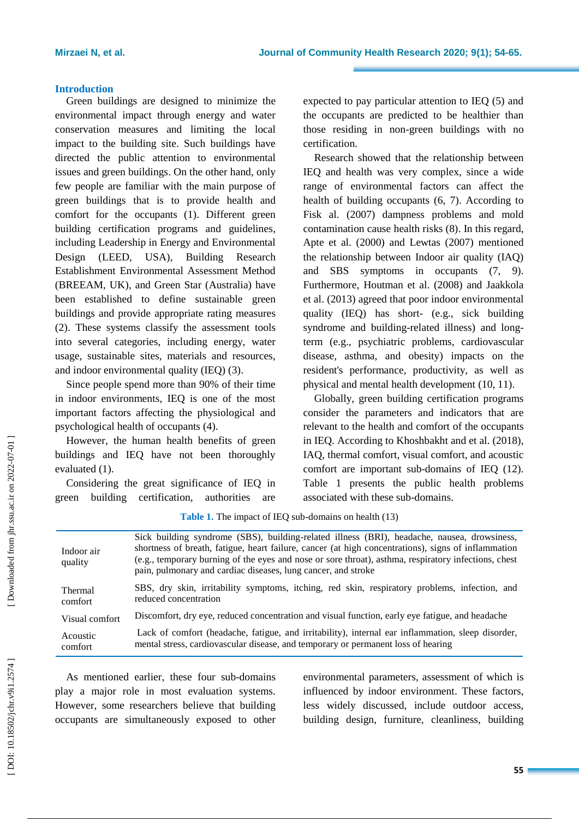## **Introduction**

Green buildings are designed to minimize the environmental impact through energy and water conservation measures and limiting the local impact to the building site. Such buildings have directed the public attention to environmental issues and green buildings. On the other hand, only few people are familiar with the main purpose of green buildings that is to provide health and comfort for the occupants (1) . Different green building certification programs and guidelines, including Leadership in Energy and Environmental Design (LEED, USA), Building Research Establishment Environmental Assessment Method (BREEAM, UK), and Green Star (Australia) have been established to define sustainable green buildings and provide appropriate rating measure s (2) . These systems classify the assessment tools into several categories, including energy, water usage, sustainable sites, materials and resources, and indoor environmental qualit y (IEQ) (3).

Since people spend more than 90% of their time in indoor environments, IEQ is one of the most important factors affecting the physiological and psychological health of occupants (4).

However, the human health benefits of green buildings and IEQ have not been thoroughly evaluated (1).

Considering the great significance of IEQ in green building certification, authorities are expected to pay particular attention to IEQ (5) and the occupants are predicted to be healthier than those residing in non -green buildings with no certification.

Research showed that the relationship between IEQ and health was very complex, since a wide range of environmental factors can affect the health of building occupants (6, 7). According to Fisk al. (2007) dampness problems and mold contamination cause health risks (8). In this regard , Apte et al. (2000) and Lewtas (2007) mentioned the relationship between Indoor air quality (IAQ) and SBS symptoms in occupants (7, 9). Furthermore, Houtman et al. (2008) and Jaakkola et al. (2013) agreed that poor indoor environmental quality (IEQ) has short - (e.g., sick building syndrome and building-related illness) and longterm (e.g., psychiatric problems, cardiovascular disease, asthma, and obesity) impacts on the resident's performance, productivity, as well as physical and mental health development (10, 11).

Globally, green building certification programs consider the parameters and indicators that are relevant to the health and comfort of the occupants in IEQ . According to Khoshbakht and et al. (2018) , IAQ, thermal comfort, visual comfort, and acoustic comfort are important sub -domains of IEQ (12). Table 1 presents the public health problems associated with these sub -domains .

| Indoor air<br>quality | Sick building syndrome (SBS), building-related illness (BRI), headache, nausea, drowsiness,<br>shortness of breath, fatigue, heart failure, cancer (at high concentrations), signs of inflammation<br>(e.g., temporary burning of the eyes and nose or sore throat), asthma, respiratory infections, chest<br>pain, pulmonary and cardiac diseases, lung cancer, and stroke |
|-----------------------|-----------------------------------------------------------------------------------------------------------------------------------------------------------------------------------------------------------------------------------------------------------------------------------------------------------------------------------------------------------------------------|
| Thermal               | SBS, dry skin, irritability symptoms, itching, red skin, respiratory problems, infection, and                                                                                                                                                                                                                                                                               |
| comfort               | reduced concentration                                                                                                                                                                                                                                                                                                                                                       |
| Visual comfort        | Discomfort, dry eye, reduced concentration and visual function, early eye fatigue, and headache                                                                                                                                                                                                                                                                             |
| Acoustic              | Lack of comfort (headache, fatigue, and irritability), internal ear inflammation, sleep disorder,                                                                                                                                                                                                                                                                           |
| comfort               | mental stress, cardiovascular disease, and temporary or permanent loss of hearing                                                                                                                                                                                                                                                                                           |

Table 1. The impact of IEQ sub-domains on health (13)

As mentioned earlier, these four sub -domains play a major role in most evaluation systems. However, some researchers believe that building occupants are simultaneously exposed to other

environmental parameters , assessment of which is influenced by indoor environment . These factors, less widely discussed, include outdoor access, building design, furniture, cleanliness, building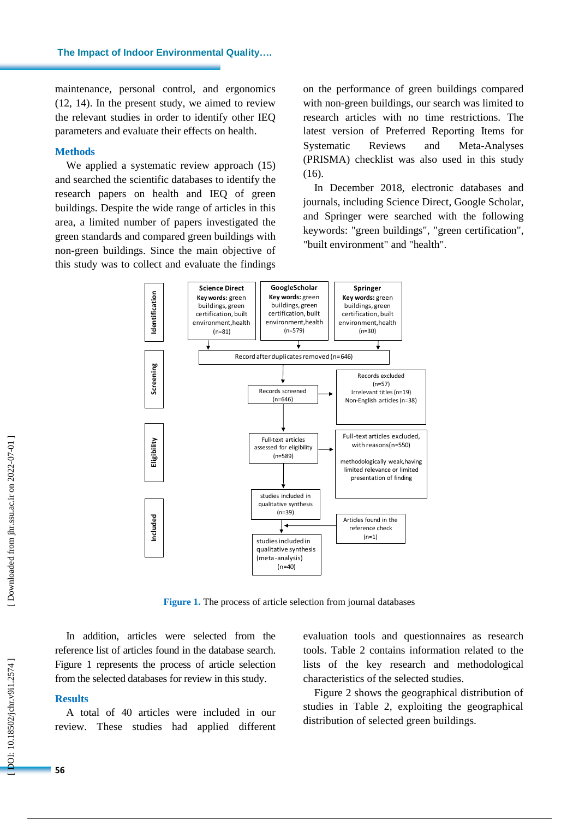maintenance, personal control, and ergonomics (12, 14) . In the present study, we aimed to review the relevant studies in order to identify other IEQ parameters and evaluate their effects on health.

#### **Methods**

We applied a systematic review approach  $(15)$ and searched the scientific databases to identify the research papers on health and IEQ of green buildings. Despite the wide range of articles in this area, a limited number of papers investigated the green standards and compared green buildings with non -green buildings. Since the main objective of this study was to collect and evaluat e the findings on the performance of green buildings compared with non -green buildings, our search was limited to research articles with no time restrictions. The latest version of Preferred Reporting Items for Systematic Reviews and Meta-Analyses (PRISMA) checklist was also used in this study (16).

In December 201 8, electronic databases and journals, including Science Direct, Google Scholar, and Springer were searched with the following keywords : "green buildings ", "green certification", "built environment" and "health".



**Figure 1.** The process of article selection from journal databases

In addition, articles were selected from the reference list of articles found in the database search. Figure 1 represents the process of article selection from the selected databases for review in this study.

## **Result s**

A total of 40 articles were included in our review. These studies had applied different evaluation tools and questionnaires as research tools . Table 2 contains information related to the lists of the key research and methodological characteristics of the selected studies .

Figure 2 shows the geographical distribution of studies in Table 2, exploiting the geographical distribution of selected green buildings.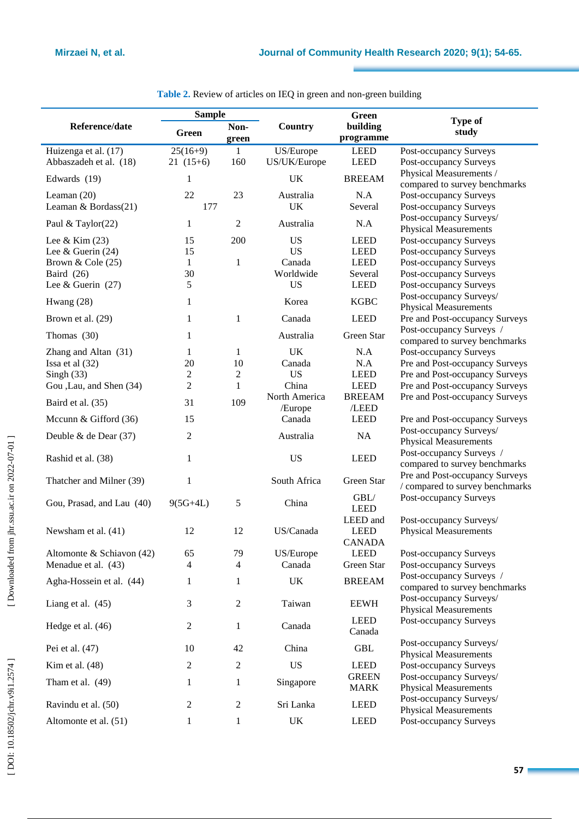۰

|                           | <b>Sample</b>    |                |                          | <b>Green</b>           |                                                                   |  |  |
|---------------------------|------------------|----------------|--------------------------|------------------------|-------------------------------------------------------------------|--|--|
| Reference/date            | <b>Green</b>     | Non-<br>green  | <b>Country</b>           | building<br>programme  | <b>Type of</b><br>study                                           |  |  |
| Huizenga et al. (17)      | $25(16+9)$       | 1              | US/Europe                | <b>LEED</b>            | Post-occupancy Surveys                                            |  |  |
| Abbaszadeh et al. (18)    | $21(15+6)$       | 160            | US/UK/Europe             | <b>LEED</b>            | Post-occupancy Surveys                                            |  |  |
| Edwards (19)              | 1                |                | <b>UK</b>                | <b>BREEAM</b>          | Physical Measurements /<br>compared to survey benchmarks          |  |  |
| Leaman $(20)$             | 22               | 23             | Australia                | N.A                    | Post-occupancy Surveys                                            |  |  |
| Leaman & Bordass(21)      | 177              |                | <b>UK</b>                | Several                | <b>Post-occupancy Surveys</b>                                     |  |  |
| Paul & Taylor(22)         | 1                | $\overline{2}$ | Australia                | N.A                    | Post-occupancy Surveys/<br><b>Physical Measurements</b>           |  |  |
| Lee & Kim $(23)$          | 15               | 200            | <b>US</b>                | <b>LEED</b>            | <b>Post-occupancy Surveys</b>                                     |  |  |
| Lee & Guerin $(24)$       | 15               |                | <b>US</b>                | <b>LEED</b>            | Post-occupancy Surveys                                            |  |  |
| Brown $&$ Cole (25)       | $\mathbf{1}$     | $\mathbf{1}$   | Canada                   | <b>LEED</b>            | Post-occupancy Surveys                                            |  |  |
| Baird $(26)$              | 30               |                | Worldwide                | Several                | Post-occupancy Surveys                                            |  |  |
| Lee & Guerin $(27)$       | 5                |                | <b>US</b>                | <b>LEED</b>            | Post-occupancy Surveys                                            |  |  |
| Hwang $(28)$              | 1                |                | Korea                    | <b>KGBC</b>            | Post-occupancy Surveys/                                           |  |  |
|                           |                  |                |                          |                        | <b>Physical Measurements</b>                                      |  |  |
| Brown et al. (29)         | 1                | $\mathbf{1}$   | Canada                   | <b>LEED</b>            | Pre and Post-occupancy Surveys                                    |  |  |
| Thomas $(30)$             | 1                |                | Australia                | Green Star             | Post-occupancy Surveys /<br>compared to survey benchmarks         |  |  |
| Zhang and Altan (31)      | 1                | 1              | <b>UK</b>                | N.A                    | Post-occupancy Surveys                                            |  |  |
| Issa et al (32)           | 20               | 10             | Canada                   | N.A                    | Pre and Post-occupancy Surveys                                    |  |  |
| Singh $(33)$              | $\overline{c}$   | 2              | <b>US</b>                | <b>LEED</b>            | Pre and Post-occupancy Surveys                                    |  |  |
| Gou , Lau, and Shen (34)  | $\overline{c}$   | 1              | China                    | <b>LEED</b>            | Pre and Post-occupancy Surveys                                    |  |  |
| Baird et al. (35)         | 31               | 109            | North America<br>/Europe | <b>BREEAM</b><br>/LEED | Pre and Post-occupancy Surveys                                    |  |  |
| Mccunn & Gifford $(36)$   | 15               |                | Canada                   | <b>LEED</b>            | Pre and Post-occupancy Surveys                                    |  |  |
| Deuble & de Dear (37)     | $\overline{c}$   |                | Australia                | NA                     | Post-occupancy Surveys/<br><b>Physical Measurements</b>           |  |  |
| Rashid et al. (38)        | 1                |                | <b>US</b>                | <b>LEED</b>            | Post-occupancy Surveys /<br>compared to survey benchmarks         |  |  |
| Thatcher and Milner (39)  | 1                |                | South Africa             | Green Star             | Pre and Post-occupancy Surveys<br>/ compared to survey benchmarks |  |  |
| Gou, Prasad, and Lau (40) | $9(5G+4L)$       | 5              | China                    | GBL/<br><b>LEED</b>    | Post-occupancy Surveys                                            |  |  |
|                           |                  |                |                          | LEED and               | Post-occupancy Surveys/                                           |  |  |
| Newsham et al. (41)       | 12               | 12             | US/Canada                | <b>LEED</b>            | <b>Physical Measurements</b>                                      |  |  |
|                           |                  |                |                          | <b>CANADA</b>          |                                                                   |  |  |
| Altomonte & Schiavon (42) | 65               | 79             | US/Europe                | <b>LEED</b>            | Post-occupancy Surveys                                            |  |  |
| Menadue et al. (43)       | 4                | $\overline{4}$ | Canada                   | Green Star             | Post-occupancy Surveys                                            |  |  |
| Agha-Hossein et al. (44)  | 1                | 1              | UK                       | <b>BREEAM</b>          | Post-occupancy Surveys /<br>compared to survey benchmarks         |  |  |
| Liang et al. $(45)$       | 3                | $\overline{c}$ | Taiwan                   | <b>EEWH</b>            | Post-occupancy Surveys/<br><b>Physical Measurements</b>           |  |  |
| Hedge et al. (46)         | $\mathbf{2}$     | $\mathbf{1}$   | Canada                   | <b>LEED</b><br>Canada  | <b>Post-occupancy Surveys</b>                                     |  |  |
| Pei et al. (47)           | 10               | 42             | China                    | <b>GBL</b>             | Post-occupancy Surveys/<br><b>Physical Measurements</b>           |  |  |
| Kim et al. $(48)$         | 2                | 2              | <b>US</b>                | <b>LEED</b>            | Post-occupancy Surveys                                            |  |  |
|                           |                  |                |                          | <b>GREEN</b>           | Post-occupancy Surveys/                                           |  |  |
| Tham et al. $(49)$        | 1                | $\mathbf{1}$   | Singapore                | <b>MARK</b>            | <b>Physical Measurements</b>                                      |  |  |
| Ravindu et al. (50)       | $\boldsymbol{2}$ | $\overline{c}$ | Sri Lanka                | <b>LEED</b>            | Post-occupancy Surveys/<br><b>Physical Measurements</b>           |  |  |
| Altomonte et al. (51)     | 1                | $\mathbf{1}$   | UK                       | <b>LEED</b>            | Post-occupancy Surveys                                            |  |  |

Table 2. Review of articles on IEQ in green and non-green building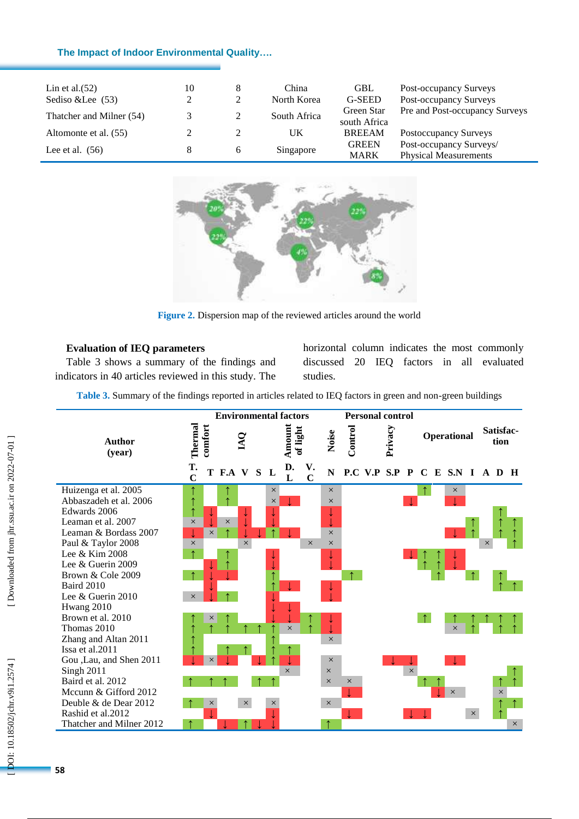## **The Impact of Indoor Environmental Quality … .**

| Lin et al. $(52)$        | 10 | 8        | China        | <b>GBL</b>    | Post-occupancy Surveys         |
|--------------------------|----|----------|--------------|---------------|--------------------------------|
| Sediso & Lee (53)        | 2  | $\gamma$ | North Korea  | G-SEED        | Post-occupancy Surveys         |
| Thatcher and Milner (54) |    |          | South Africa | Green Star    | Pre and Post-occupancy Surveys |
|                          |    |          |              | south Africa  |                                |
| Altomonte et al. (55)    |    |          | UK           | <b>BREEAM</b> | Postoccupancy Surveys          |
|                          |    |          |              | <b>GREEN</b>  | Post-occupancy Surveys/        |
| Lee et al. $(56)$        | 8  | 6        | Singapore    | <b>MARK</b>   | <b>Physical Measurements</b>   |



**Figure 2.** Dispersion map of the reviewed articles around the world

## **Evaluation of IEQ parameters**

Table 3 shows a summary of the findings and indicators in 40 articles reviewed in this study. The horizontal column indicates the most commonly discussed 20 IEQ factors in all evaluated studies.

**Table 3.** Summary of the findings reported in articles related to IEQ factors in green and non -green buildings

|                                            |                      |          | <b>Environmental factors</b> |                |          |                    |                      |          |            | <b>Personal control</b>       |          |            |             |          |          |                   |          |
|--------------------------------------------|----------------------|----------|------------------------------|----------------|----------|--------------------|----------------------|----------|------------|-------------------------------|----------|------------|-------------|----------|----------|-------------------|----------|
| <b>Author</b><br>(year)                    | Thermal              | comfort  |                              | $\overline{M}$ |          | Amount<br>of light |                      | Noise    | Control    | Privacy                       |          |            | Operational |          |          | Satisfac-<br>tion |          |
|                                            | T.<br>$\overline{C}$ |          | T F.A V S L                  |                |          | D.<br>L            | V.<br>$\overline{C}$ | N        |            | P.C V.P S.P P C E S.N I A D H |          |            |             |          |          |                   |          |
| Huizenga et al. 2005                       |                      |          |                              |                | $\times$ |                    |                      | $\times$ |            |                               |          |            | $\times$    |          |          |                   |          |
| Abbaszadeh et al. 2006                     | $\uparrow$           |          |                              |                | $\times$ |                    |                      | $\times$ |            |                               |          |            |             |          |          |                   |          |
| Edwards 2006                               | $\uparrow$           |          |                              |                |          |                    |                      | ↓        |            |                               |          |            |             |          |          |                   |          |
| Leaman et al. 2007                         | $\times$             |          | $\times$                     |                |          |                    |                      |          |            |                               |          |            |             |          |          |                   |          |
| Leaman & Bordass 2007                      |                      | $\times$ | ↑                            |                |          |                    |                      | $\times$ |            |                               |          |            |             |          |          |                   |          |
| Paul & Taylor 2008                         | $\times$             |          |                              | $\times$       |          |                    | $\times$             | $\times$ |            |                               |          |            |             |          | $\times$ |                   |          |
| Lee $&$ Kim 2008                           | $\uparrow$           |          |                              |                |          |                    |                      |          |            |                               |          |            |             |          |          |                   |          |
| Lee & Guerin 2009                          |                      |          |                              |                |          |                    |                      |          |            |                               |          |            |             |          |          |                   |          |
| Brown & Cole 2009                          | $\uparrow$           |          |                              |                |          |                    |                      |          | $\uparrow$ |                               |          |            |             |          |          |                   |          |
| <b>Baird 2010</b>                          |                      |          |                              |                |          |                    |                      |          |            |                               |          |            |             |          |          |                   |          |
| Lee & Guerin 2010                          | $\times$             |          |                              |                |          |                    |                      |          |            |                               |          |            |             |          |          |                   |          |
| Hwang 2010                                 |                      |          |                              |                |          |                    |                      |          |            |                               |          |            |             |          |          |                   |          |
| Brown et al. 2010                          |                      | ×        |                              |                |          |                    |                      |          |            |                               |          | $\uparrow$ |             |          |          |                   |          |
| Thomas 2010                                |                      |          |                              |                |          | $\times$           |                      |          |            |                               |          |            | $\times$    |          |          |                   |          |
| Zhang and Altan 2011                       | ↑                    |          |                              |                |          |                    |                      | $\times$ |            |                               |          |            |             |          |          |                   |          |
| Issa et al.2011                            |                      |          |                              |                |          |                    |                      |          |            |                               |          |            |             |          |          |                   |          |
| Gou ,Lau, and Shen 2011                    |                      | $\times$ |                              |                |          |                    |                      | $\times$ |            |                               |          |            |             |          |          |                   |          |
| <b>Singh 2011</b>                          |                      |          |                              |                |          | $\times$           |                      | $\times$ |            |                               | $\times$ |            |             |          |          |                   |          |
| Baird et al. 2012                          |                      |          |                              |                |          |                    |                      | $\times$ | $\times$   |                               |          |            |             |          |          |                   |          |
| Mccunn & Gifford 2012                      |                      |          |                              |                |          |                    |                      |          |            |                               |          |            | $\times$    |          |          | $\times$          |          |
| Deuble & de Dear 2012<br>Rashid et al.2012 |                      | $\times$ |                              | $\times$       | ×        |                    |                      | $\times$ |            |                               |          |            |             |          |          |                   |          |
|                                            |                      |          |                              |                |          |                    |                      |          |            |                               |          |            |             | $\times$ |          |                   |          |
| Thatcher and Milner 2012                   |                      |          |                              |                |          |                    |                      |          |            |                               |          |            |             |          |          |                   | $\times$ |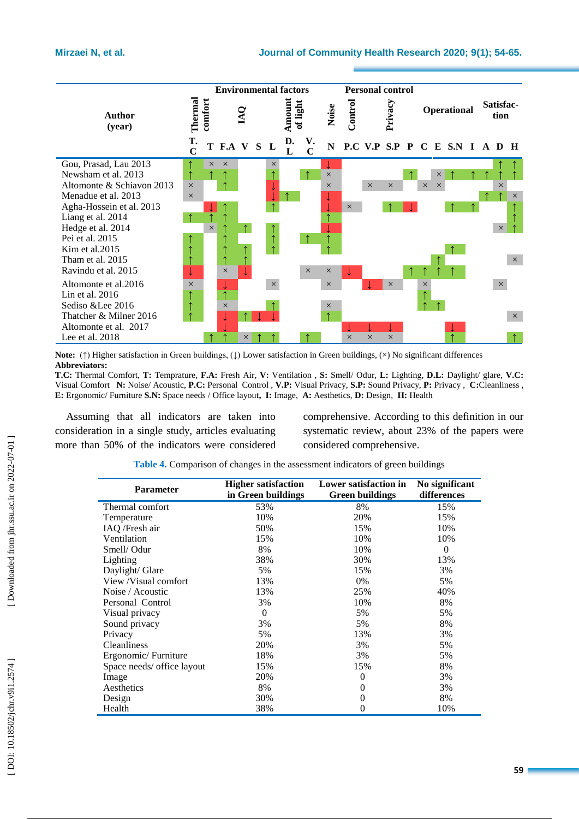

Note: (↑) Higher satisfaction in Green buildings, (↓) Lower satisfaction in Green buildings, (×) No significant differences **Abbreviators:** 

**T.C:** Thermal Comfort, **T:** Temprature, **F.A:** Fresh Air, **V:** Ventilation , **S:** Smell/ Odur, **L:** Lighting, **D.L:** Daylight/ glare, **V.C:**  Visual Comfort **N:** Noise/ Acoustic, **P.C:** Personal Control , **V.P:** Visual Privacy, **S.P:** Sound Privacy, **P:** Privacy , **C:**Cleanliness , **E:**  Ergonomic/ Furniture **S.N:** Space needs / Office layout**, I:** Image, **A:** Aesthetics, **D:** Design, **H:** Health

Assuming that all indicators are taken into consideration in a single study, articles evaluating more than 50% of the indicators were considered comprehensive. According to this definition in our systematic review, about 23% of the papers were considered comprehensive.

| <b>Parameter</b>           | <b>Higher satisfaction</b> | Lower satisfaction in | No significant |
|----------------------------|----------------------------|-----------------------|----------------|
|                            | in Green buildings         | Green buildings       | differences    |
| Thermal comfort            | 53%                        | 8%                    | 15%            |
| Temperature                | 10%                        | 20%                   | 15%            |
| IAQ /Fresh air             | 50%                        | 15%                   | 10%            |
| Ventilation                | 15%                        | 10%                   | 10%            |
| Smell/Odur                 | 8%                         | 10%                   | $\Omega$       |
| Lighting                   | 38%                        | 30%                   | 13%            |
| Daylight/ Glare            | 5%                         | 15%                   | 3%             |
| View /Visual comfort       | 13%                        | 0%                    | 5%             |
| Noise / Acoustic           | 13%                        | 25%                   | 40%            |
| Personal Control           | 3%                         | 10%                   | 8%             |
| Visual privacy             | $\Omega$                   | 5%                    | 5%             |
| Sound privacy              | 3%                         | 5%                    | 8%             |
| Privacy                    | 5%                         | 13%                   | 3%             |
| <b>Cleanliness</b>         | 20%                        | 3%                    | 5%             |
| Ergonomic/Furniture        | 18%                        | 3%                    | 5%             |
| Space needs/ office layout | 15%                        | 15%                   | 8%             |
| Image                      | 20%                        | $\theta$              | 3%             |
| Aesthetics                 | 8%                         | 0                     | 3%             |
| Design                     | 30%                        | $\theta$              | 8%             |
| Health                     | 38%                        | $\theta$              | 10%            |
|                            |                            |                       |                |

**Table 4.** Comparison of changes in the assessment indicators of green buildings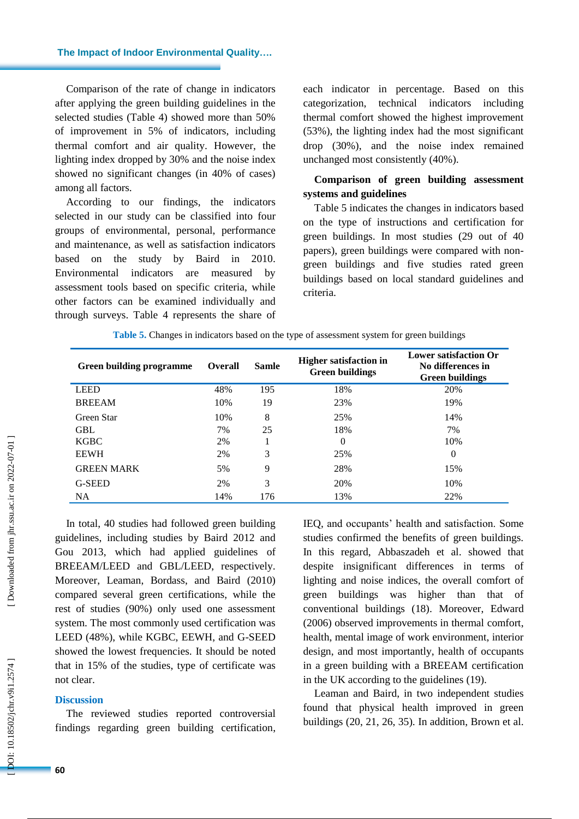**The Impact of Indoor Environmental Quality … .**

Comparison of the rate of change in indicators after applying the green building guidelines in the selected studies (Table 4) showed more than 50% of improvement in 5% of indicators, including thermal comfort and air quality. However, the lighting index dropped by 30% and the noise index showed no significant changes (in 40% of cases) among all factors.

According to our findings, the indicators selected in our study can be classified into four groups of environmental, personal, performance and maintenance, as well as satisfaction indicators based on the study by Baird in 2010. Environmental indicators are measured by assessment tools based on specific criteria, while other factors can be examined individually and through surveys. Table 4 represents the share of each indicator in percentage. Based on this categorization, technical indicators including thermal comfort showed the highest improvement (53%), the lighting index had the most significant drop (30%), and the noise index remained unchanged most consistently (40%).

## **Comparison of green building assessment systems and guidelines**

Table 5 indicates the changes in indicators based on the type of instructions and certification for green buildings. In most studies (29 out of 40 papers), green buildings were compared with non green buildings and five studies rated green buildings based on local standard guidelines and criteria.

| Green building programme | <b>Overall</b> | Samle | <b>Higher satisfaction in</b><br><b>Green buildings</b> | <b>Lower satisfaction Or</b><br>No differences in<br><b>Green buildings</b> |  |  |  |  |
|--------------------------|----------------|-------|---------------------------------------------------------|-----------------------------------------------------------------------------|--|--|--|--|
| <b>LEED</b>              | 48%            | 195   | 18%                                                     | 20%                                                                         |  |  |  |  |
| <b>BREEAM</b>            | 10%            | 19    | 23%                                                     | 19%                                                                         |  |  |  |  |
| Green Star               | 10%            | 8     | 25%                                                     | 14%                                                                         |  |  |  |  |
| <b>GBL</b>               | 7%             | 25    | 18%                                                     | 7%                                                                          |  |  |  |  |
| <b>KGBC</b>              | 2%             |       | $\theta$                                                | 10%                                                                         |  |  |  |  |
| <b>EEWH</b>              | 2%             | 3     | 25%                                                     | $\theta$                                                                    |  |  |  |  |
| <b>GREEN MARK</b>        | 5%             | 9     | 28%                                                     | 15%                                                                         |  |  |  |  |
| G-SEED                   | 2%             | 3     | 20%                                                     | 10%                                                                         |  |  |  |  |
| NA.                      | 14%            | 176   | 13%                                                     | 22%                                                                         |  |  |  |  |

|  |  |  | Table 5. Changes in indicators based on the type of assessment system for green buildings |
|--|--|--|-------------------------------------------------------------------------------------------|
|  |  |  |                                                                                           |

In total, 40 studies had followed green building guidelines, including studies by Baird 2012 and Gou 2013, which had applied guidelines of BREEAM/LEED and GBL/LEED, respectively. Moreover, Leaman , Bordass , and Baird (2010) compared several green certifications, while the rest of studies (90%) only used one assessment system. The most commonly used certification was LEED (48%), while KGBC, EEWH, and G -SEED showed the lowest frequencies. It should be noted that in 15% of the studies, type of certificate was not clear.

#### **Discussion**

The reviewed studies reported controversial findings regarding green building certification ,

IEQ , and occupants' health and satisfaction. Some studies confirmed the benefits of green buildings. In this regard, Abbaszadeh et al. showed that despite insignificant differences in terms of lighting and noise indices, the overall comfort of green buildings was higher than that of conventional buildings (18). Moreover, Edward (2006) observed improvements in thermal comfort, health, mental image of work environment, interior design , and most importantly, health of occupants in a green building with a BREEAM certification in the UK according to the guidelines (19).

Leaman and Baird, in two independent studies found that physical health improved in green buildings (20, 21, 26, 35). In addition, Brown et al.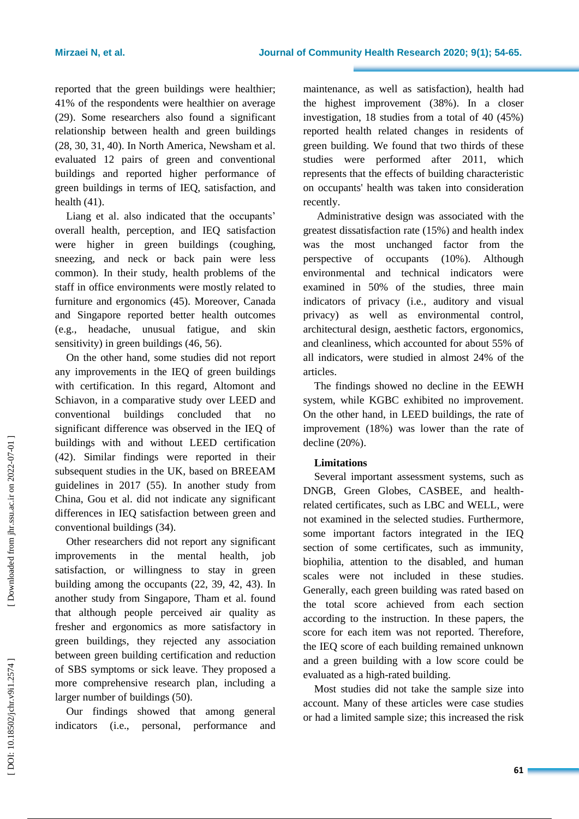reported that the green buildings were healthier; 41% of the respondents were healthier on average (29). Some researchers also found a significant relationship between health and green building s (28, 30, 31, 40). In North America, Newsham et al. evaluated 12 pairs of green and conventional buildings and reported higher performance of green buildings in terms of IEQ, satisfaction, and health (41).

Liang et al. also indicated that the occupants' overall health, perception, and IEQ satisfaction were higher in green buildings (coughing , sneezing, and neck or back pain were less common ) . In their study, health problems of the staff in office environments were mostly related to furniture and ergonomics (45). Moreover, Canada and Singapore reported better health outcomes (e.g., headache, unusual fatigue, and skin sensitivity) in green buildings (46, 56).

On the other hand, some studies did not report any improvement s in the IEQ of green buildings with certification. In this regard, Altomont and Schiavon, in a comparative study over LEED and conventional buildings concluded that no significant difference was observed in the IEQ of buildings with and without LEED certification (42). Similar findings were reported in their subsequent studies in the UK , based on BREEAM guidelines in 2017 (55). In another study from China, Gou et al. did not indicate any significant difference s in IEQ satisfaction between green and conventional building s (34).

Other researchers did not report any significant improvement s in the mental health, job satisfaction, or willingness to stay in green building among the occupants (22, 39, 42, 43) . In another study from Singapore, Tham et al. found that although people perceived air quality as fresher and ergonomics as more satisfactory in green buildings, they rejected any association between green building certification and reduction of SBS symptoms or sick leav e. They proposed a more comprehensive research plan , including a larger number of buildings (50).

Our findings showed that among general indicators (i.e., personal, performance and

maintenance, as well as satisfaction) , health had the highest improvement (38%). In a closer investigation , 18 studies from a total of 40 (45%) reported health related changes in residents of green building. We found that two third s of these studies were performed after 2011, which represent s that the effects of building characteristic on occupants' health was take n into consideration recently.

Administrative design was associated with the greatest dissatisfaction rate (15%) and health index was the most unchanged factor from the perspective of occupants (10%). Although environmental and technical indicators were examined in 50% of the studies, three main indicators of privacy (i.e., auditory and visual privacy) as well as environmental control, architectural design, aesthetic factors, ergonomics, and cleanliness, which accounted for about 55% of all indicators, were studied in almost 24% of the articles.

The findings showed no decline in the EEWH system, while KGBC exhibited no improvement. On the other hand, in LEED buildings, the rate of improvement (18%) was lower than the rate of decline (20%).

## **Limitations**

Several important assessment systems, such as DNGB, Green Globes, CASBEE, and health related certificates , such as LBC and WELL , were not examined in the selected studies. Furthermore, some important factors integrated in the IEQ section of some certificates, such as immunity, biophilia, attention to the disabled, and human scale s were not included in these studies . Generally, each green building was rated based on the total score achieved from each section according to the instruction. In these papers, the score for each item was not reported . Therefore, the IEQ score of each building remained unknown and a green building with a low score could be evaluated as a high -rated building.

Most studies did not take the sample size into account. Many of these articles were case studies or had a limited sample size; this increase d the risk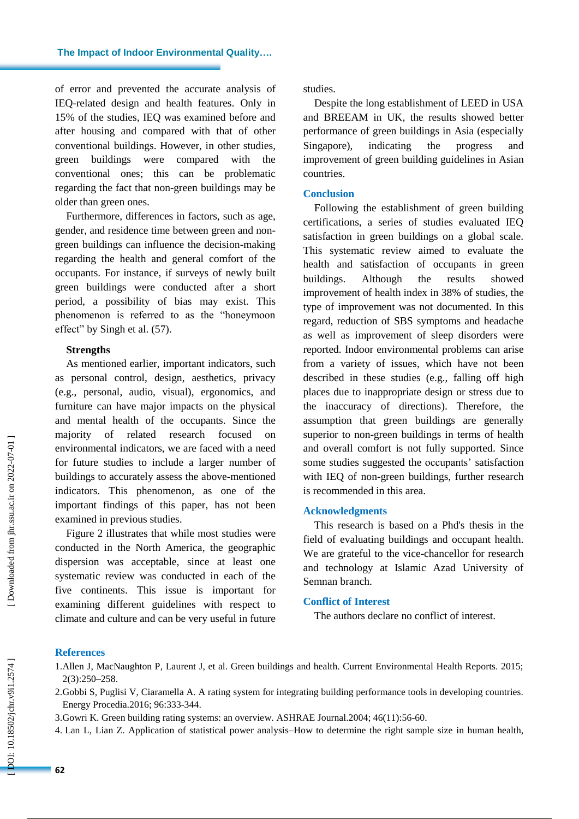of error and prevented the accurate analysis of IEQ -related design and health features. Only in 15% of the studies, IEQ was examined before and after housing and compared with that of other conventional building s . However, in other studies, green buildings were compared with the conventional ones ; this can be problematic regarding the fact that non -green buildings may be older than green ones .

Furthermore, differences in factors, such as age, gender, and residence time between green and non green building s can influence the decision -making regarding the health and general comfort of the occupants . For instance, if surveys of newly built green buildings were conducted after a short period, a possibility of bias may exist. This phenomenon is referred to as the "honeymoon effect" by Singh et al. (57).

## **Strengths**

As mentioned earlier, important indicators, such as personal control, design, aesthetics, privacy (e.g., personal, audio, visual) , ergonomics , and furniture can have major impacts on the physical and mental health of the occupants . Since the majority of related research focused environmental indicators, we are faced with a need for future studies to include a larger number of buildings to accurately assess the above -mentioned indicators . This phenomenon, as one of the important findings of this paper, has not been examined in previous studies.

Figure 2 illustrates that while most studies were conducted in the North America, the geographic dispersion was acceptable, since at least one systematic review was conducted in each of the five continents. This issue is important for examining different guidelines with respect to climate and culture and can be very useful in future studies.

Despite the long establishment of LEED in USA and BREEAM in UK, the results showed better performance of green buildings in Asia (especially Singapore), indicating the progress and improvement of green building guidelines in Asian countries.

## **Conclusion**

Following the establishment of green building certifications, a series of studies evaluated IEQ satisfaction in green buildings on a global scale. This systematic review aimed to evaluate the health and satisfaction of occupants in green buildings. Although the results showed improvement of health index in 38% of studies, the type of improvement was not documented. In this regard, reduction of SBS symptoms and headache as well as improvement of sleep disorders were reported. I ndoor environmental problems can arise from a variety of issues , which have not been described in these studies (e.g., falling off high places due to inappropriate design or stress due to the inaccuracy of directions ) . Therefore, the assumption that green buildings are generally superior to non -green building s in terms of health and overall comfort is not fully supported. Since some studies suggested the occupants' satisfaction with IEQ of non -green buildings, further research is recommended in this area.

## **Acknowledgment s**

This research is based on a Phd's thesis in the field of evaluating buildings and occupant health. We are grateful to the vice -chancellor for research and technology at Islamic Azad University of Semnan branch.

## **Conflict of Interest**

The authors declare no conflict of interest.

## **References**

- 2.Gobbi S, Puglisi V, Ciaramella A. A rating system for integrating building performance tools in developing countries. Energy Procedia.2016; 96:333 -344 .
- 3 .Gowri K. Green building rating systems: an overview. ASHRAE Journal.2004; 46(11):56 -60.
- 4 . Lan L, Lian Z. Application of statistical power analysis –How to determine the right sample size in human health,

<sup>1.</sup>Allen J, MacNaughton P, Laurent J, et al. Green buildings and health. Current Environmental Health Reports. 2015; 2(3):250–258.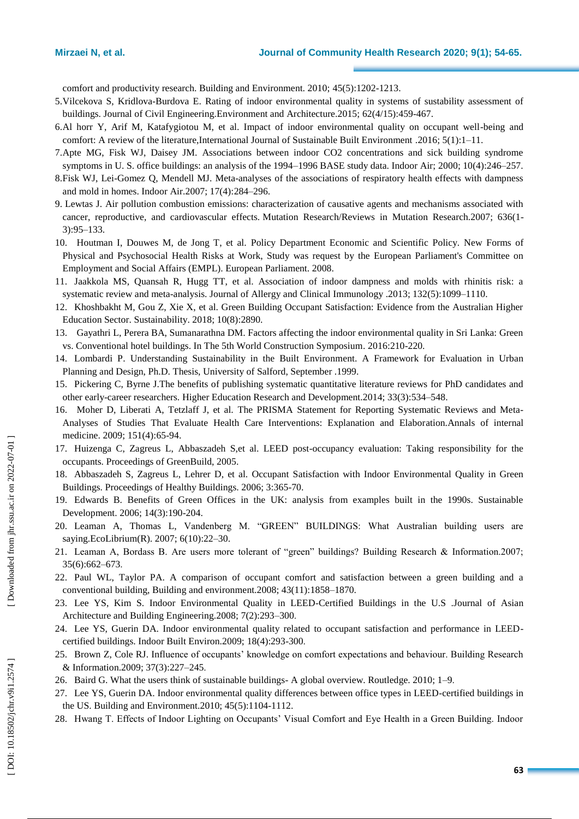comfort and productivity research. Building and Environment. 2010; 45(5):1202 -1213.

- 5 .Vilcekova S, Kridlova -Burdova E. Rating of indoor environmental quality in systems of sustability assessment of buildings. Journal of Civil Engineering.Environment and Architecture.2015; 62(4/15):459 -467.
- 6 .Al horr Y, Arif M, Katafygiotou M, et al. Impact of indoor environmental quality on occupant well -being and comfort: A review of the literature,International Journal of Sustainable Built Environment .2016; 5(1):1 –11.
- 7 .Apte MG, Fisk WJ, Daisey JM. Associations between indoor CO2 concentrations and sick building syndrome symptoms in U. S. office buildings: an analysis of the 1994 –1996 BASE study data. Indoor Air; 2000; 10(4):246 –257.
- 8 .Fisk WJ, Lei -Gomez Q, Mendell MJ. Meta -analyses of the associations of respiratory health effects with dampness and mold in homes. Indoor Air.2007; 17(4):284 –296.
- 9 . Lewtas J. Air pollution combustion emissions: characterization of causative agents and mechanisms associated with cancer, reproductive, and cardiovascular effects. Mutation Research/Reviews in Mutation Research.2007; 636(1 - 3):95 –133.
- 10 . Houtman I, Douwes M, de Jong T, et al. Policy Department Economic and Scientific Policy. New Forms of Physical and Psychosocial Health Risks at Work, Study was request by the European Parliament's Committee on Employment and Social Affairs (EMPL). European Parliament. 2008.
- 11 . Jaakkola MS, Quansah R, Hugg TT, et al. Association of indoor dampness and molds with rhinitis risk: a systematic review and meta-analysis. Journal of Allergy and Clinical Immunology .2013; 132(5):1099-1110.
- 12 . Khoshbakht M, Gou Z, Xie X, et al. Green Building Occupant Satisfaction: Evidence from the Australian Higher Education Sector. Sustainability. 2018; 10(8) :2890.
- 13 . Gayathri L, Perera BA, Sumanarathna DM. Factors affecting the indoor environmental quality in Sri Lanka: Green vs. Conventional hotel buildings. In The 5th World Construction Symposium . 2016:210 -220.
- 14 . Lombardi P. Understanding Sustainability in the Built Environment. A Framework for Evaluation in Urban Planning and Design, Ph.D. Thesis, University of Salford, September .1999.
- 15 . Pickering C, Byrne J.The benefits of publishing systematic quantitative literature reviews for PhD candidates and other early -career researchers. Higher Education Research and Development.2014; 33(3):534 –548.
- 16 . Moher D, Liberati A, Tetzlaff J, et al. The PRISMA Statement for Reporting Systematic Reviews and Meta - Analyses of Studies That Evaluate Health Care Interventions: Explanation and Elaboration.Annals of internal medicine. 2009; 151(4):65-94.
- 17 . Huizenga C, Zagreus L, Abbaszadeh S,et al. LEED post -occupancy evaluation: Taking responsibility for the occupants. Proceedings of GreenBuild, 2005.
- 18 . Abbaszadeh S, Zagreus L, Lehrer D, et al. Occupant Satisfaction with Indoor Environmental Quality in Green Buildings. Proceedings of Healthy Buildings. 2006; 3:365 -70.
- 19 . Edwards B. Benefits of Green Offices in the UK: analysis from examples built in the 1990s. Sustainable Development. 2006; 14(3):190 -204.
- 20. Leaman A, Thomas L, Vandenberg M. "GREEN" BUILDINGS: What Australian building users are saying.EcoLibrium(R). 2007; 6(10):22 –30.
- 21. Leaman A, Bordass B. Are users more tolerant of "green" buildings? Building Research & Information.2007; 35(6):662 –673 .
- 22 . Paul WL, Taylor PA. A comparison of occupant comfort and satisfaction between a green building and a conventional building, Building and environment.2008; 43(11):1858 –1870.
- 23 . Lee YS, Kim S. Indoor Environmental Quality in LEED -Certified Buildings in the U.S .Journal of Asian Architecture and Building Engineering.2008; 7(2):293 –300 .
- 24 . Lee YS, Guerin DA. Indoor environmental quality related to occupant satisfaction and performance in LEED certified buildings. Indoor Built Environ.2009; 18(4):293 -300 .
- 25 . Brown Z, Cole RJ. Influence of occupants' knowledge on comfort expectations and behaviour. Building Research & Information.2009; 37(3):227 –245 .
- 26 . Baird G. What the users think of sustainable buildings A global overview. Routledge. 2010; 1 9 .
- 27 . Lee YS, Guerin DA. Indoor environmental quality differences between office types in LEED -certified buildings in the US. Building and Environment.2010; 45( 5):1104 -1112.
- 28 . Hwang T. Effects of Indoor Lighting on Occupants' Visual Comfort and Eye Health in a Green Building. Indoor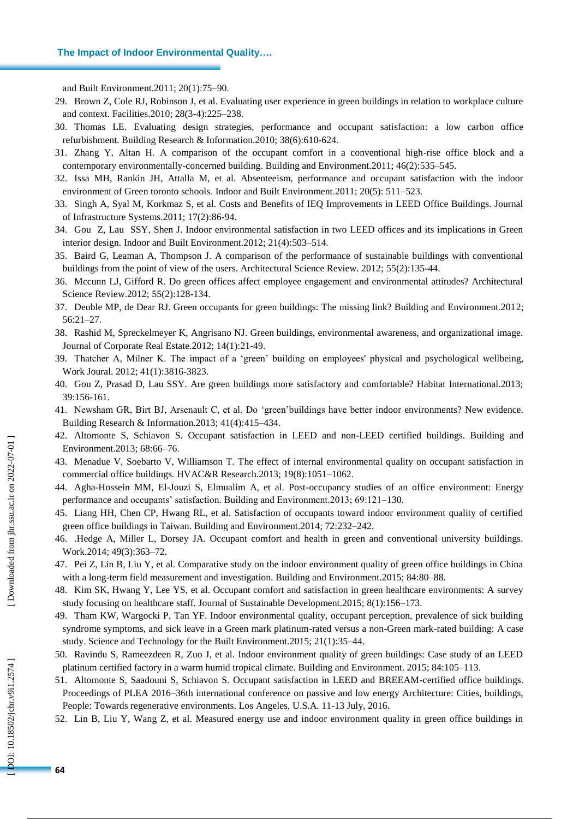and Built Environment.2011; 20(1):75 –90 .

- 29 . Brown Z, Cole RJ, Robinson J, et al. Evaluating user experience in green buildings in relation to workplace culture and context. Facilities.2010; 28(3 -4):225 –238.
- 30 . Thomas LE. Evaluating design strategies, performance and occupant satisfaction : a low carbon office refurbishment. Building Research & Information.2010; 38(6):610 -624.
- 31 . Zhang Y, Altan H. A comparison of the occupant comfort in a conventional high -rise office block and a contemporary environmentally -concerned building . Build ing and Environment.2011; 46(2):535 –545.
- 32 . Issa MH, Rankin JH, Attalla M, et al. Absenteeism, performance and occupant satisfaction with the indoor environment of Green toronto schools . Indoor and Built Environment.2011; 20(5): 511 –523.
- 33 . Singh A, Syal M, Korkmaz S, et al. Costs and Benefits of IEQ Improvements in LEED Office Buildings. Journal of Infrastructure Systems.2011; 17(2):86 -94.
- 34 . Gou Z, Lau SSY, Shen J. Indoor environmental satisfaction in two LEED offices and its implications in Green interior design. Indoor and Built Environment.2012; 21(4):503 –514 .
- 35 . Baird G, Leaman A, Thompson J. A comparison of the performance of sustainable buildings with conventional buildings from the point of view of the users. Architectural Science Review. 2012; 55(2):135 - 44.
- 36 . Mccunn LJ, Gifford R. Do green offices affect employee engagement and environmental attitudes? Architectural Science Review.2012; 55(2):128 -134.
- 37 . Deuble MP, de Dear RJ. Green occupants for green buildings: The missing link? Building and Environment.2012; 56:21 –27 .
- 38 . Rashid M, Spreckelmeyer K, Angrisano NJ. Green buildings, environmental awareness, and organizational image. Journal of Corporate Real Estate.2012; 14(1):21 -49.
- 39 . Thatcher A, Milner K. The impact of a ‗green' building on employees' physical and psychological wellbeing, Work Joural. 2012; 41(1):3816 -3823.
- 40 . Gou Z, Prasad D, Lau SSY. Are green buildings more satisfactory and comfortable? Habitat International.2013; 39:156 -161.
- 41 . Newsham GR, Birt BJ, Arsenault C, et al. Do ‗green'buildings have better indoor environments? New evidence. Building Research & Information.2013; 41(4):415 –434.
- 42 . Altomonte S, Schiavon S. Occupant satisfaction in LEED and non -LEED certified buildings. Building and Environment.2013; 68:66 –76 .
- 43 . Menadue V, Soebarto V, Williamson T. The effect of internal environmental quality on occupant satisfaction in commercial office buildings. HVAC&R Research.2013; 19(8):1051-1062.
- 44 . Agha -Hossein MM, El -Jouzi S, Elmualim A, et al. Post -occupancy studies of an office environment: Energy performance and occupants' satisfaction. Building and Environment.2013; 69:121 –130 .
- 45 . Liang HH, Chen CP, Hwang RL, et al. Satisfaction of occupants toward indoor environment quality of certified green office buildings in Taiwan. Building and Environment.2014; 72:232 –242 .
- 46 . .Hedge A, Miller L, Dorsey JA. Occupant comfort and health in green and conventional university buildings. Work.2014; 49(3):363 –72.
- 47 . Pei Z, Lin B, Liu Y, et al. Comparative study on the indoor environment quality of green office buildings in China with a long-term field measurement and investigation. Building and Environment.2015; 84:80-88.
- 48 . Kim SK, Hwang Y, Lee YS, et al. Occupant comfort and satisfaction in green healthcare environments: A survey study focusing on healthcare staff. Journal of Sustainable Development.2015; 8(1):156–173.
- 49 . Tham KW, Wargocki P, Tan YF. Indoor environmental quality, occupant perception, prevalence of sick building syndrome symptoms, and sick leave in a Green mark platinum-rated versus a non-Green mark-rated building: A case study . Science and Technology for the Built Environment.2015; 21(1):35 –44.
- 50 . Ravindu S, Rameezdeen R, Zuo J, et al. Indoor environment quality of green buildings: Case study of an LEED platinum certified factory in a warm humid tropical climate. Building and Environment. 2015; 84:105 –113 .
- 51 . Altomonte S, Saadouni S, Schiavon S. Occupant satisfaction in LEED and BREEAM -certified office buildings. Proceedings of PLEA 2016 –36th international conference on passive and low energy Architecture: Cities, buildings, People: Towards regenerative environments . Los Angeles, U.S.A. 11 -13 July, 2016.
- 52 . Lin B, Liu Y, Wang Z, et al. Measured energy use and indoor environment quality in green office buildings in

DOI: 10.18502/jchr.v9i1.2574]